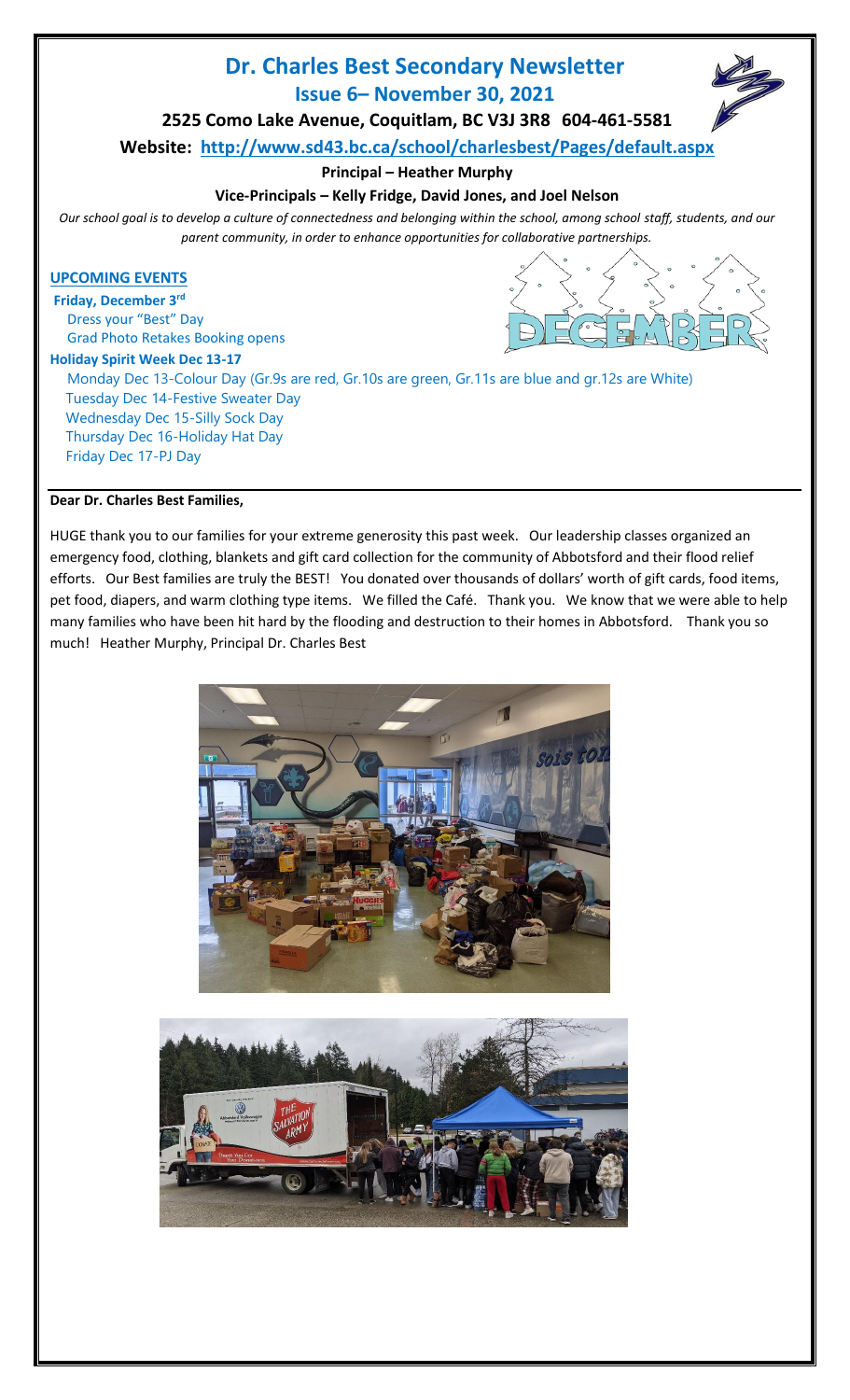# **Dr. Charles Best Secondary Newsletter Issue 6– November 30, 2021**



**2525 Como Lake Avenue, Coquitlam, BC V3J 3R8 604-461-5581**

**Website: <http://www.sd43.bc.ca/school/charlesbest/Pages/default.aspx>**

**Principal – Heather Murphy**

# **Vice-Principals – Kelly Fridge, David Jones, and Joel Nelson**

*Our school goal is to develop a culture of connectedness and belonging within the school, among school staff, students, and our parent community, in order to enhance opportunities for collaborative partnerships.*

## **UPCOMING EVENTS**

**Friday, December 3 rd** Dress your "Best" Day Grad Photo Retakes Booking opens

#### **Holiday Spirit Week Dec 13-17**

Monday Dec 13-Colour Day (Gr.9s are red, Gr.10s are green, Gr.11s are blue and gr.12s are White) Tuesday Dec 14-Festive Sweater Day Wednesday Dec 15-Silly Sock Day Thursday Dec 16-Holiday Hat Day Friday Dec 17-PJ Day

## **Dear Dr. Charles Best Families,**

HUGE thank you to our families for your extreme generosity this past week. Our leadership classes organized an emergency food, clothing, blankets and gift card collection for the community of Abbotsford and their flood relief efforts. Our Best families are truly the BEST! You donated over thousands of dollars' worth of gift cards, food items, pet food, diapers, and warm clothing type items. We filled the Café. Thank you. We know that we were able to help many families who have been hit hard by the flooding and destruction to their homes in Abbotsford. Thank you so much! Heather Murphy, Principal Dr. Charles Best



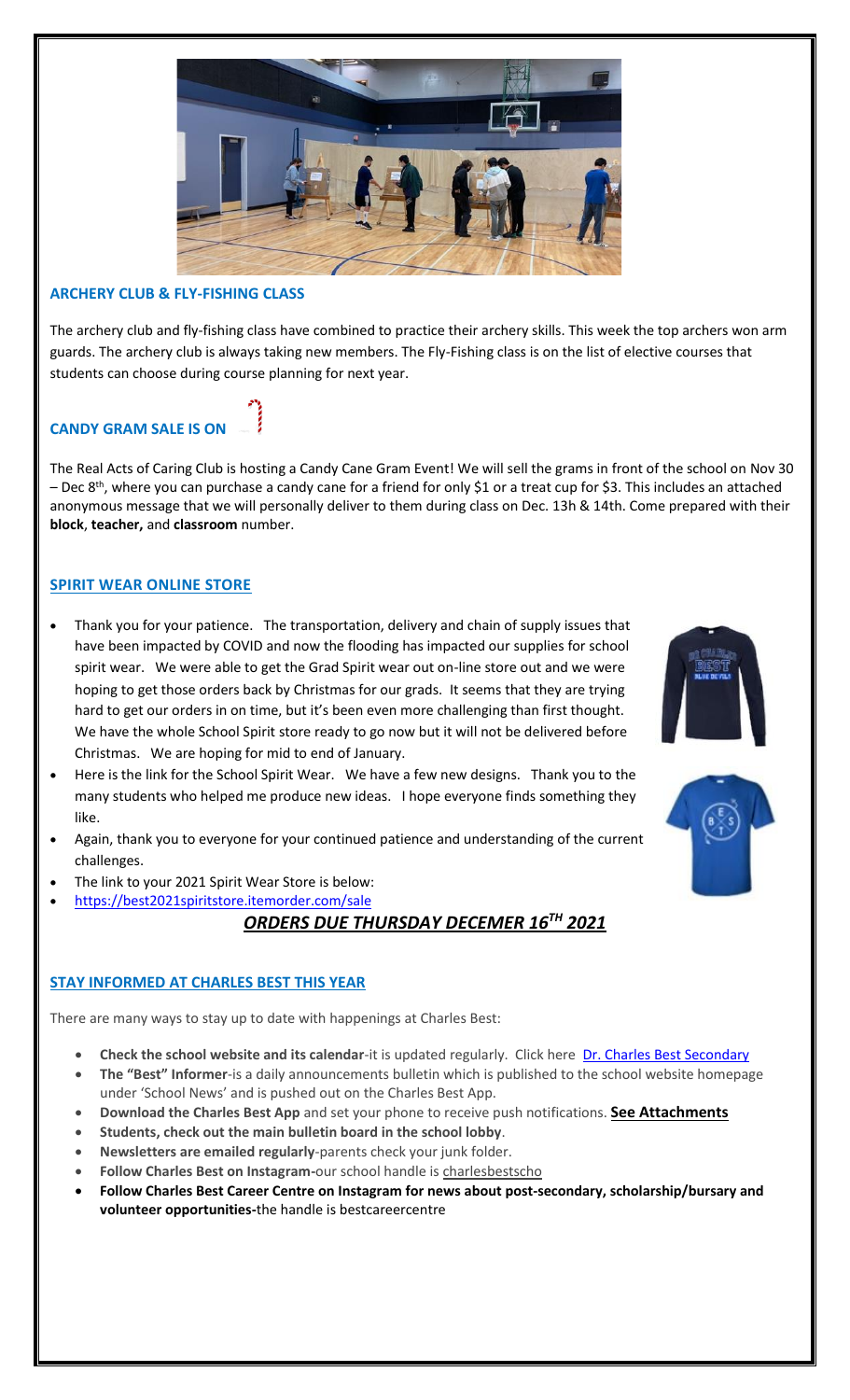

## **ARCHERY CLUB & FLY-FISHING CLASS**

The archery club and fly-fishing class have combined to practice their archery skills. This week the top archers won arm guards. The archery club is always taking new members. The Fly-Fishing class is on the list of elective courses that students can choose during course planning for next year.

# **CANDY GRAM SALE IS ON**

The Real Acts of Caring Club is hosting a Candy Cane Gram Event! We will sell the grams in front of the school on Nov 30 – Dec 8<sup>th</sup>, where you can purchase a candy cane for a friend for only \$1 or a treat cup for \$3. This includes an attached anonymous message that we will personally deliver to them during class on Dec. 13h & 14th. Come prepared with their **block**, **teacher,** and **classroom** number.

## **SPIRIT WEAR ONLINE STORE**

- Thank you for your patience. The transportation, delivery and chain of supply issues that have been impacted by COVID and now the flooding has impacted our supplies for school spirit wear. We were able to get the Grad Spirit wear out on-line store out and we were hoping to get those orders back by Christmas for our grads. It seems that they are trying hard to get our orders in on time, but it's been even more challenging than first thought. We have the whole School Spirit store ready to go now but it will not be delivered before Christmas. We are hoping for mid to end of January.
- Here is the link for the School Spirit Wear. We have a few new designs. Thank you to the many students who helped me produce new ideas. I hope everyone finds something they like.
- Again, thank you to everyone for your continued patience and understanding of the current challenges.
- The link to your 2021 Spirit Wear Store is below:
	- <https://best2021spiritstore.itemorder.com/sale>

# *ORDERS DUE THURSDAY DECEMER 16TH 2021*

#### **STAY INFORMED AT CHARLES BEST THIS YEAR**

There are many ways to stay up to date with happenings at Charles Best:

- **Check the school website and its calendar**-it is updated regularly. Click here [Dr. Charles Best Secondary](http://www.sd43.bc.ca/School/charlesbest/Pages/default.aspx#/=)
- **The "Best" Informer**-is a daily announcements bulletin which is published to the school website homepage under 'School News' and is pushed out on the Charles Best App.
- **Download the Charles Best App** and set your phone to receive push notifications. **See Attachments**
- **Students, check out the main bulletin board in the school lobby**.
- **Newsletters are emailed regularly**-parents check your junk folder.
- **Follow Charles Best on Instagram-**our school handle is charlesbestscho
- **Follow Charles Best Career Centre on Instagram for news about post-secondary, scholarship/bursary and volunteer opportunities-**the handle is bestcareercentre



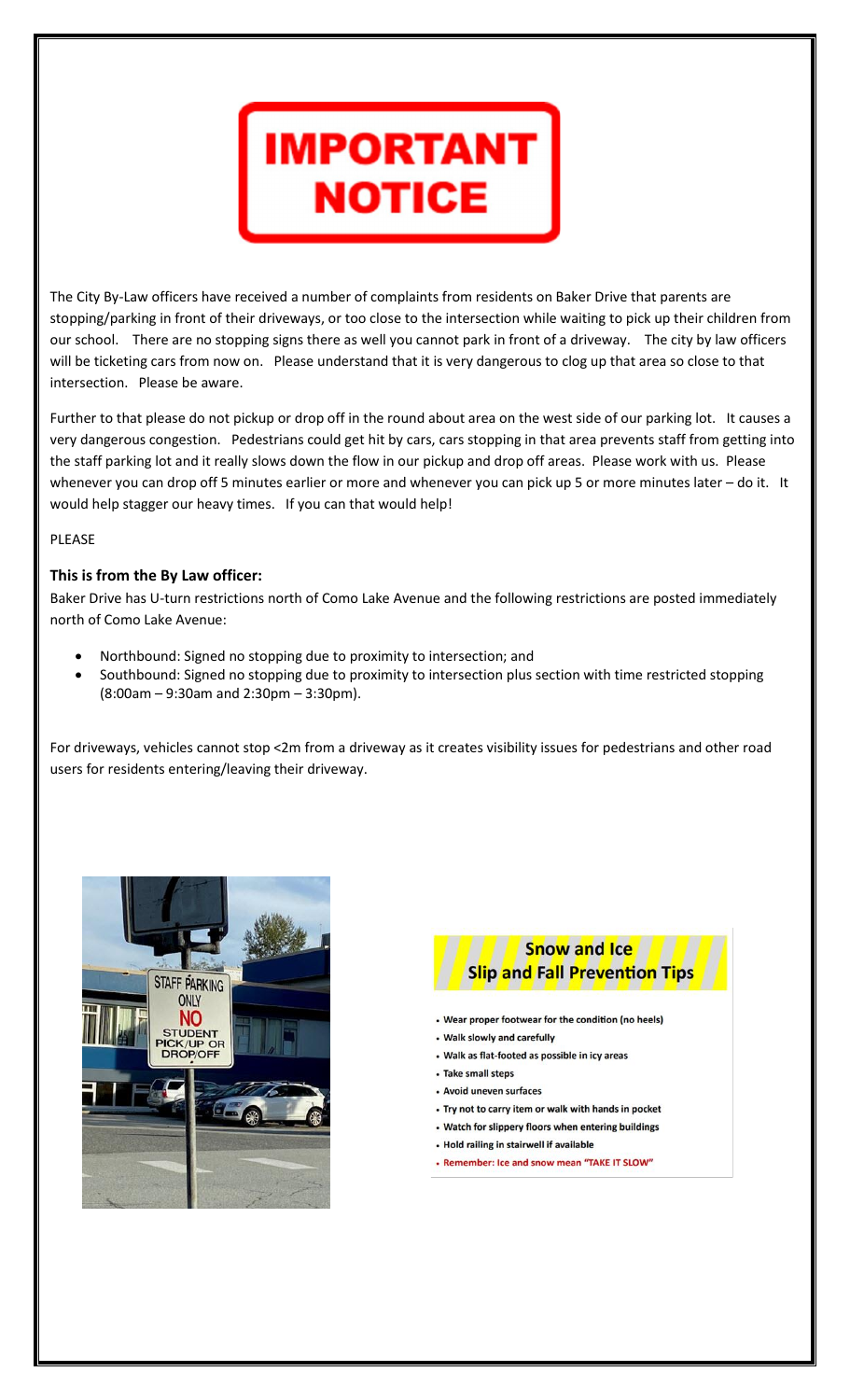

The City By-Law officers have received a number of complaints from residents on Baker Drive that parents are stopping/parking in front of their driveways, or too close to the intersection while waiting to pick up their children from our school. There are no stopping signs there as well you cannot park in front of a driveway. The city by law officers will be ticketing cars from now on. Please understand that it is very dangerous to clog up that area so close to that intersection. Please be aware.

Further to that please do not pickup or drop off in the round about area on the west side of our parking lot. It causes a very dangerous congestion. Pedestrians could get hit by cars, cars stopping in that area prevents staff from getting into the staff parking lot and it really slows down the flow in our pickup and drop off areas. Please work with us. Please whenever you can drop off 5 minutes earlier or more and whenever you can pick up 5 or more minutes later – do it. It would help stagger our heavy times. If you can that would help!

#### PLEASE

#### **This is from the By Law officer:**

Baker Drive has U-turn restrictions north of Como Lake Avenue and the following restrictions are posted immediately north of Como Lake Avenue:

- Northbound: Signed no stopping due to proximity to intersection; and
- Southbound: Signed no stopping due to proximity to intersection plus section with time restricted stopping (8:00am – 9:30am and 2:30pm – 3:30pm).

For driveways, vehicles cannot stop <2m from a driveway as it creates visibility issues for pedestrians and other road users for residents entering/leaving their driveway.





- Wear proper footwear for the condition (no heels)
- Walk slowly and carefully
- Walk as flat-footed as possible in icy areas
- · Take small steps
- Avoid uneven surfaces
- Try not to carry item or walk with hands in pocket
- Watch for slippery floors when entering buildings
- Hold railing in stairwell if available
- Remember: Ice and snow mean "TAKE IT SLOW"